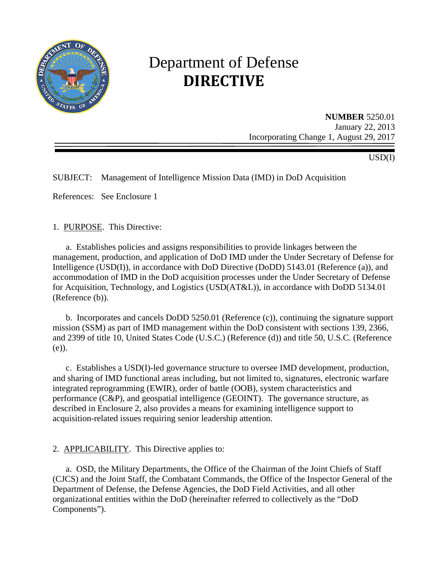

# Department of Defense **DIRECTIVE**

**NUMBER** 5250.01 January 22, 2013 Incorporating Change 1, August 29, 2017

USD(I)

SUBJECT: Management of Intelligence Mission Data (IMD) in DoD Acquisition

References: See Enclosure 1

#### 1. PURPOSE. This Directive:

 a. Establishes policies and assigns responsibilities to provide linkages between the management, production, and application of DoD IMD under the Under Secretary of Defense for Intelligence (USD(I)), in accordance with DoD Directive (DoDD) 5143.01 (Reference (a)), and accommodation of IMD in the DoD acquisition processes under the Under Secretary of Defense for Acquisition, Technology, and Logistics (USD(AT&L)), in accordance with DoDD 5134.01 (Reference (b)).

b. Incorporates and cancels DoDD 5250.01 (Reference (c)), continuing the signature support mission (SSM) as part of IMD management within the DoD consistent with sections 139, 2366, and 2399 of title 10, United States Code (U.S.C.) (Reference (d)) and title 50, U.S.C. (Reference (e)).

 c. Establishes a USD(I)-led governance structure to oversee IMD development, production, and sharing of IMD functional areas including, but not limited to, signatures, electronic warfare integrated reprogramming (EWIR), order of battle (OOB), system characteristics and performance (C&P), and geospatial intelligence (GEOINT). The governance structure, as described in Enclosure 2, also provides a means for examining intelligence support to acquisition-related issues requiring senior leadership attention.

#### 2. APPLICABILITY. This Directive applies to:

 a. OSD, the Military Departments, the Office of the Chairman of the Joint Chiefs of Staff (CJCS) and the Joint Staff, the Combatant Commands, the Office of the Inspector General of the Department of Defense, the Defense Agencies, the DoD Field Activities, and all other organizational entities within the DoD (hereinafter referred to collectively as the "DoD Components").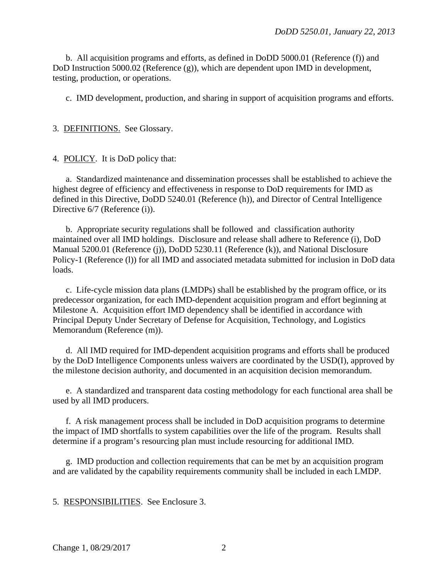b. All acquisition programs and efforts, as defined in DoDD 5000.01 (Reference (f)) and DoD Instruction 5000.02 (Reference (g)), which are dependent upon IMD in development, testing, production, or operations.

c. IMD development, production, and sharing in support of acquisition programs and efforts.

3. DEFINITIONS. See Glossary.

4. POLICY. It is DoD policy that:

 a. Standardized maintenance and dissemination processes shall be established to achieve the highest degree of efficiency and effectiveness in response to DoD requirements for IMD as defined in this Directive, DoDD 5240.01 (Reference (h)), and Director of Central Intelligence Directive  $6/7$  (Reference (i)).

 b. Appropriate security regulations shall be followed and classification authority maintained over all IMD holdings. Disclosure and release shall adhere to Reference (i), DoD Manual 5200.01 (Reference (j)), DoDD 5230.11 (Reference (k)), and National Disclosure Policy-1 (Reference (l)) for all IMD and associated metadata submitted for inclusion in DoD data loads.

c. Life-cycle mission data plans (LMDPs) shall be established by the program office, or its predecessor organization, for each IMD-dependent acquisition program and effort beginning at Milestone A. Acquisition effort IMD dependency shall be identified in accordance with Principal Deputy Under Secretary of Defense for Acquisition, Technology, and Logistics Memorandum (Reference (m)).

d. All IMD required for IMD-dependent acquisition programs and efforts shall be produced by the DoD Intelligence Components unless waivers are coordinated by the USD(I), approved by the milestone decision authority, and documented in an acquisition decision memorandum.

 e. A standardized and transparent data costing methodology for each functional area shall be used by all IMD producers.

f. A risk management process shall be included in DoD acquisition programs to determine the impact of IMD shortfalls to system capabilities over the life of the program. Results shall determine if a program's resourcing plan must include resourcing for additional IMD.

 g. IMD production and collection requirements that can be met by an acquisition program and are validated by the capability requirements community shall be included in each LMDP.

5. RESPONSIBILITIES. See Enclosure 3.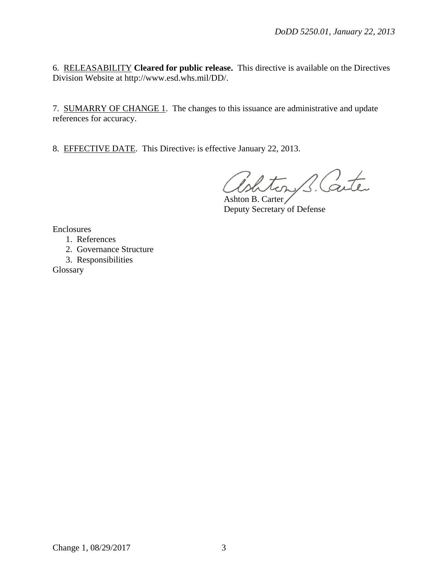6. RELEASABILITY **Cleared for public release.** This directive is available on the Directives Division Website at http://www.esd.whs.mil/DD/.

7. SUMARRY OF CHANGE 1. The changes to this issuance are administrative and update references for accuracy.

8. EFFECTIVE DATE. This Directive: is effective January 22, 2013.

ton B. Carter

Ashton B. Carter Deputy Secretary of Defense

Enclosures

- 1. References
- 2. Governance Structure
- 3. Responsibilities

Glossary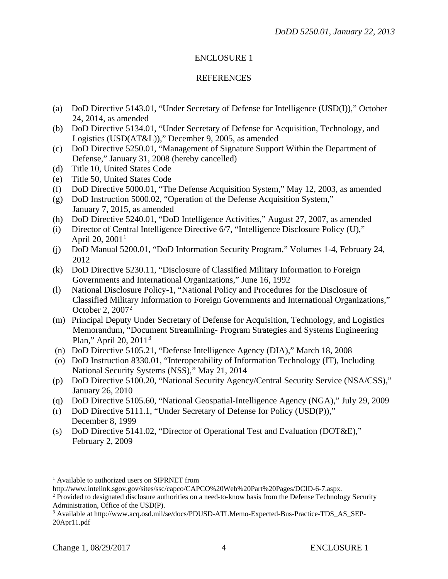## ENCLOSURE 1

### REFERENCES

- (a) DoD Directive 5143.01, "Under Secretary of Defense for Intelligence (USD(I))," October 24, 2014, as amended
- (b) DoD Directive 5134.01, "Under Secretary of Defense for Acquisition, Technology, and Logistics (USD(AT&L))," December 9, 2005, as amended
- (c) DoD Directive 5250.01, "Management of Signature Support Within the Department of Defense," January 31, 2008 (hereby cancelled)
- (d) Title 10, United States Code
- (e) Title 50, United States Code
- (f) DoD Directive 5000.01, "The Defense Acquisition System," May 12, 2003, as amended
- (g) DoD Instruction 5000.02, "Operation of the Defense Acquisition System," January 7, 2015, as amended
- (h) DoD Directive 5240.01, "DoD Intelligence Activities," August 27, 2007, as amended
- (i) Director of Central Intelligence Directive 6/7, "Intelligence Disclosure Policy (U)," April 20,  $2001<sup>1</sup>$  $2001<sup>1</sup>$  $2001<sup>1</sup>$
- (j) DoD Manual 5200.01, "DoD Information Security Program," Volumes 1-4, February 24, 2012
- (k) DoD Directive 5230.11, "Disclosure of Classified Military Information to Foreign Governments and International Organizations," June 16, 1992
- October [2](#page-3-1), 2007<sup>2</sup> (l) National Disclosure Policy-1, "National Policy and Procedures for the Disclosure of Classified Military Information to Foreign Governments and International Organizations,"
- Plan," April 20, 2011<sup>[3](#page-3-2)</sup> (m) Principal Deputy Under Secretary of Defense for Acquisition, Technology, and Logistics Memorandum, "Document Streamlining- Program Strategies and Systems Engineering
- (n) DoD Directive 5105.21, "Defense Intelligence Agency (DIA)," March 18, 2008
- (o) DoD Instruction 8330.01, "Interoperability of Information Technology (IT), Including National Security Systems (NSS)," May 21, 2014
- (p) DoD Directive 5100.20, "National Security Agency/Central Security Service (NSA/CSS)," January 26, 2010
- (q) DoD Directive 5105.60, "National Geospatial-Intelligence Agency (NGA)," July 29, 2009
- (r) DoD Directive 5111.1, "Under Secretary of Defense for Policy (USD(P))," December 8, 1999
- (s) DoD Directive 5141.02, "Director of Operational Test and Evaluation (DOT&E)," February 2, 2009

<span id="page-3-0"></span><sup>&</sup>lt;sup>1</sup> Available to authorized users on SIPRNET from  $\overline{a}$ 

http://www.intelink.sgov.gov/sites/ssc/capco/CAPCO%20Web%20Part%20Pages/DCID-6-7.aspx.

<span id="page-3-1"></span><sup>&</sup>lt;sup>2</sup> Provided to designated disclosure authorities on a need-to-know basis from the Defense Technology Security Administration, Office of the USD(P).

<span id="page-3-2"></span><sup>3</sup> Available at http://www.acq.osd.mil/se/docs/PDUSD-ATLMemo-Expected-Bus-Practice-TDS\_AS\_SEP-20Apr11.pdf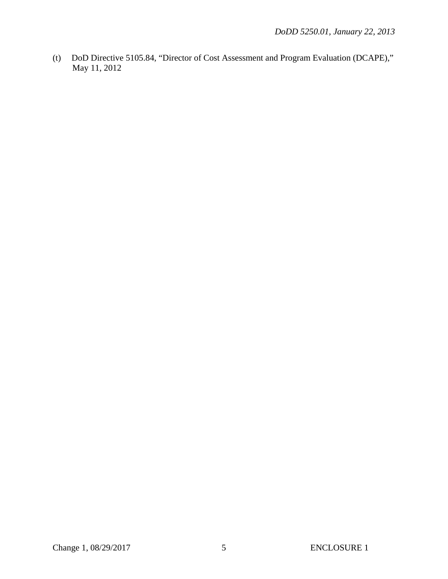(t) DoD Directive 5105.84, "Director of Cost Assessment and Program Evaluation (DCAPE)," May 11, 2012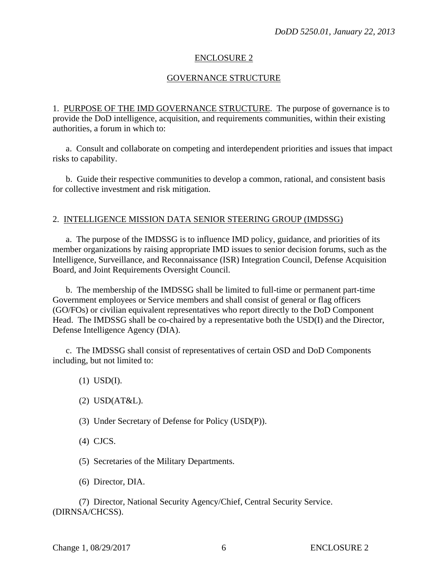#### ENCLOSURE 2

#### GOVERNANCE STRUCTURE

1. PURPOSE OF THE IMD GOVERNANCE STRUCTURE. The purpose of governance is to provide the DoD intelligence, acquisition, and requirements communities, within their existing authorities, a forum in which to:

a. Consult and collaborate on competing and interdependent priorities and issues that impact risks to capability.

 b. Guide their respective communities to develop a common, rational, and consistent basis for collective investment and risk mitigation.

#### 2. INTELLIGENCE MISSION DATA SENIOR STEERING GROUP (IMDSSG)

 a. The purpose of the IMDSSG is to influence IMD policy, guidance, and priorities of its member organizations by raising appropriate IMD issues to senior decision forums, such as the Intelligence, Surveillance, and Reconnaissance (ISR) Integration Council, Defense Acquisition Board, and Joint Requirements Oversight Council.

 b. The membership of the IMDSSG shall be limited to full-time or permanent part-time Government employees or Service members and shall consist of general or flag officers (GO/FOs) or civilian equivalent representatives who report directly to the DoD Component Head. The IMDSSG shall be co-chaired by a representative both the USD(I) and the Director, Defense Intelligence Agency (DIA).

c. The IMDSSG shall consist of representatives of certain OSD and DoD Components including, but not limited to:

- (1) USD(I).
- (2) USD(AT&L).
- (3) Under Secretary of Defense for Policy (USD(P)).

(4) CJCS.

(5) Secretaries of the Military Departments.

(6) Director, DIA.

(7) Director, National Security Agency/Chief, Central Security Service. (DIRNSA/CHCSS).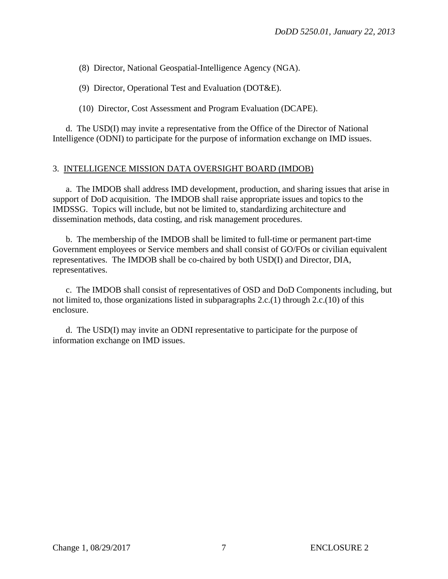(8) Director, National Geospatial-Intelligence Agency (NGA).

(9) Director, Operational Test and Evaluation (DOT&E).

(10) Director, Cost Assessment and Program Evaluation (DCAPE).

 d. The USD(I) may invite a representative from the Office of the Director of National Intelligence (ODNI) to participate for the purpose of information exchange on IMD issues.

#### 3. INTELLIGENCE MISSION DATA OVERSIGHT BOARD (IMDOB)

a. The IMDOB shall address IMD development, production, and sharing issues that arise in support of DoD acquisition. The IMDOB shall raise appropriate issues and topics to the IMDSSG. Topics will include, but not be limited to, standardizing architecture and dissemination methods, data costing, and risk management procedures.

 b. The membership of the IMDOB shall be limited to full-time or permanent part-time Government employees or Service members and shall consist of GO/FOs or civilian equivalent representatives. The IMDOB shall be co-chaired by both USD(I) and Director, DIA, representatives.

c. The IMDOB shall consist of representatives of OSD and DoD Components including, but not limited to, those organizations listed in subparagraphs 2.c.(1) through 2.c.(10) of this enclosure.

 d. The USD(I) may invite an ODNI representative to participate for the purpose of information exchange on IMD issues.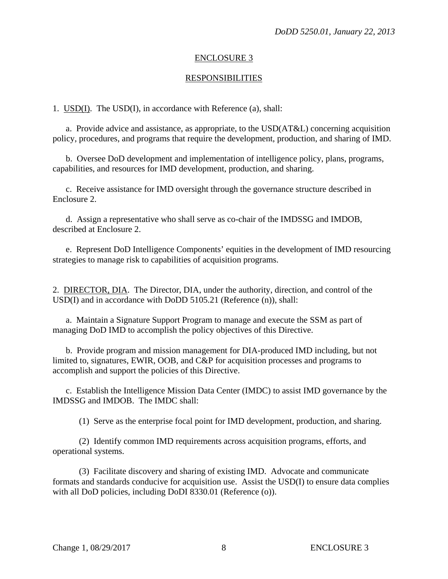#### ENCLOSURE 3

#### RESPONSIBILITIES

1. USD(I). The USD(I), in accordance with Reference (a), shall:

 a. Provide advice and assistance, as appropriate, to the USD(AT&L) concerning acquisition policy, procedures, and programs that require the development, production, and sharing of IMD.

 b. Oversee DoD development and implementation of intelligence policy, plans, programs, capabilities, and resources for IMD development, production, and sharing.

c. Receive assistance for IMD oversight through the governance structure described in Enclosure 2.

 d. Assign a representative who shall serve as co-chair of the IMDSSG and IMDOB, described at Enclosure 2.

e. Represent DoD Intelligence Components' equities in the development of IMD resourcing strategies to manage risk to capabilities of acquisition programs.

2. DIRECTOR, DIA. The Director, DIA, under the authority, direction, and control of the USD(I) and in accordance with DoDD 5105.21 (Reference (n)), shall:

a. Maintain a Signature Support Program to manage and execute the SSM as part of managing DoD IMD to accomplish the policy objectives of this Directive.

 b. Provide program and mission management for DIA-produced IMD including, but not limited to, signatures, EWIR, OOB, and C&P for acquisition processes and programs to accomplish and support the policies of this Directive.

 c. Establish the Intelligence Mission Data Center (IMDC) to assist IMD governance by the IMDSSG and IMDOB. The IMDC shall:

(1) Serve as the enterprise focal point for IMD development, production, and sharing.

 (2) Identify common IMD requirements across acquisition programs, efforts, and operational systems.

 (3) Facilitate discovery and sharing of existing IMD. Advocate and communicate formats and standards conducive for acquisition use. Assist the USD(I) to ensure data complies with all DoD policies, including DoDI 8330.01 (Reference (o)).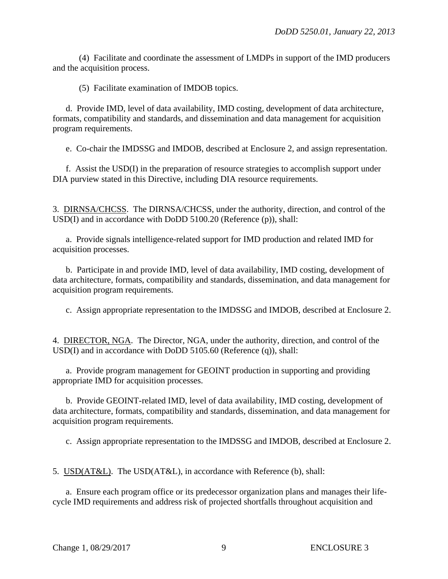(4) Facilitate and coordinate the assessment of LMDPs in support of the IMD producers and the acquisition process.

(5) Facilitate examination of IMDOB topics.

 d. Provide IMD, level of data availability, IMD costing, development of data architecture, formats, compatibility and standards, and dissemination and data management for acquisition program requirements.

e. Co-chair the IMDSSG and IMDOB, described at Enclosure 2, and assign representation.

f. Assist the USD(I) in the preparation of resource strategies to accomplish support under DIA purview stated in this Directive, including DIA resource requirements.

3. DIRNSA/CHCSS. The DIRNSA/CHCSS, under the authority, direction, and control of the USD(I) and in accordance with DoDD 5100.20 (Reference (p)), shall:

 a. Provide signals intelligence-related support for IMD production and related IMD for acquisition processes.

 b. Participate in and provide IMD, level of data availability, IMD costing, development of data architecture, formats, compatibility and standards, dissemination, and data management for acquisition program requirements.

c. Assign appropriate representation to the IMDSSG and IMDOB, described at Enclosure 2.

4. DIRECTOR, NGA. The Director, NGA, under the authority, direction, and control of the USD(I) and in accordance with DoDD 5105.60 (Reference (q)), shall:

 a. Provide program management for GEOINT production in supporting and providing appropriate IMD for acquisition processes.

 b. Provide GEOINT-related IMD, level of data availability, IMD costing, development of data architecture, formats, compatibility and standards, dissemination, and data management for acquisition program requirements.

c. Assign appropriate representation to the IMDSSG and IMDOB, described at Enclosure 2.

5. USD(AT&L). The USD(AT&L), in accordance with Reference (b), shall:

 a. Ensure each program office or its predecessor organization plans and manages their lifecycle IMD requirements and address risk of projected shortfalls throughout acquisition and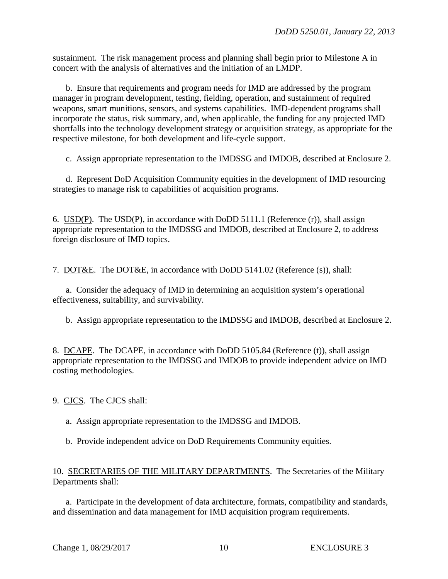sustainment. The risk management process and planning shall begin prior to Milestone A in concert with the analysis of alternatives and the initiation of an LMDP.

 b. Ensure that requirements and program needs for IMD are addressed by the program manager in program development, testing, fielding, operation, and sustainment of required weapons, smart munitions, sensors, and systems capabilities. IMD-dependent programs shall incorporate the status, risk summary, and, when applicable, the funding for any projected IMD shortfalls into the technology development strategy or acquisition strategy, as appropriate for the respective milestone, for both development and life-cycle support.

c. Assign appropriate representation to the IMDSSG and IMDOB, described at Enclosure 2.

 d. Represent DoD Acquisition Community equities in the development of IMD resourcing strategies to manage risk to capabilities of acquisition programs.

6. USD(P). The USD(P), in accordance with DoDD 5111.1 (Reference (r)), shall assign appropriate representation to the IMDSSG and IMDOB, described at Enclosure 2, to address foreign disclosure of IMD topics.

7. DOT&E. The DOT&E, in accordance with DoDD 5141.02 (Reference (s)), shall:

 a. Consider the adequacy of IMD in determining an acquisition system's operational effectiveness, suitability, and survivability.

b. Assign appropriate representation to the IMDSSG and IMDOB, described at Enclosure 2.

8. DCAPE. The DCAPE, in accordance with DoDD 5105.84 (Reference (t)), shall assign appropriate representation to the IMDSSG and IMDOB to provide independent advice on IMD costing methodologies.

9. CJCS. The CJCS shall:

a. Assign appropriate representation to the IMDSSG and IMDOB.

b. Provide independent advice on DoD Requirements Community equities.

10. SECRETARIES OF THE MILITARY DEPARTMENTS. The Secretaries of the Military Departments shall:

 a. Participate in the development of data architecture, formats, compatibility and standards, and dissemination and data management for IMD acquisition program requirements.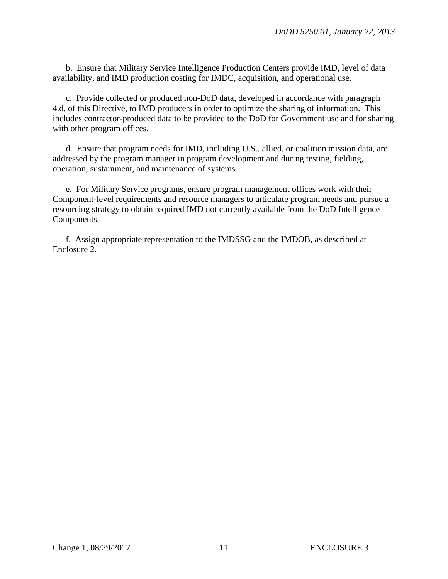b. Ensure that Military Service Intelligence Production Centers provide IMD, level of data availability, and IMD production costing for IMDC, acquisition, and operational use.

 c. Provide collected or produced non-DoD data, developed in accordance with paragraph 4.d. of this Directive, to IMD producers in order to optimize the sharing of information. This includes contractor-produced data to be provided to the DoD for Government use and for sharing with other program offices.

 d. Ensure that program needs for IMD, including U.S., allied, or coalition mission data, are addressed by the program manager in program development and during testing, fielding, operation, sustainment, and maintenance of systems.

 e. For Military Service programs, ensure program management offices work with their Component-level requirements and resource managers to articulate program needs and pursue a resourcing strategy to obtain required IMD not currently available from the DoD Intelligence Components.

 f. Assign appropriate representation to the IMDSSG and the IMDOB, as described at Enclosure 2.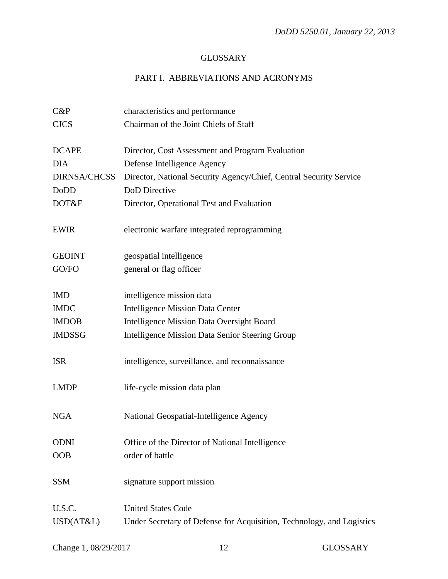# **GLOSSARY**

# PART I. ABBREVIATIONS AND ACRONYMS

| $C\&P$              | characteristics and performance                                       |
|---------------------|-----------------------------------------------------------------------|
| <b>CJCS</b>         | Chairman of the Joint Chiefs of Staff                                 |
|                     |                                                                       |
| <b>DCAPE</b>        | Director, Cost Assessment and Program Evaluation                      |
| <b>DIA</b>          | Defense Intelligence Agency                                           |
| <b>DIRNSA/CHCSS</b> | Director, National Security Agency/Chief, Central Security Service    |
| DoDD                | DoD Directive                                                         |
| DOT&E               | Director, Operational Test and Evaluation                             |
| <b>EWIR</b>         | electronic warfare integrated reprogramming                           |
|                     |                                                                       |
| <b>GEOINT</b>       | geospatial intelligence                                               |
| GO/FO               | general or flag officer                                               |
|                     |                                                                       |
| <b>IMD</b>          | intelligence mission data                                             |
| <b>IMDC</b>         | <b>Intelligence Mission Data Center</b>                               |
| <b>IMDOB</b>        | <b>Intelligence Mission Data Oversight Board</b>                      |
| <b>IMDSSG</b>       | <b>Intelligence Mission Data Senior Steering Group</b>                |
|                     |                                                                       |
| <b>ISR</b>          | intelligence, surveillance, and reconnaissance                        |
|                     |                                                                       |
| <b>LMDP</b>         | life-cycle mission data plan                                          |
| <b>NGA</b>          | National Geospatial-Intelligence Agency                               |
|                     |                                                                       |
| <b>ODNI</b>         | Office of the Director of National Intelligence                       |
| <b>OOB</b>          | order of battle                                                       |
|                     |                                                                       |
| <b>SSM</b>          | signature support mission                                             |
|                     |                                                                       |
| U.S.C.              | <b>United States Code</b>                                             |
| USD(AT&L)           | Under Secretary of Defense for Acquisition, Technology, and Logistics |
|                     |                                                                       |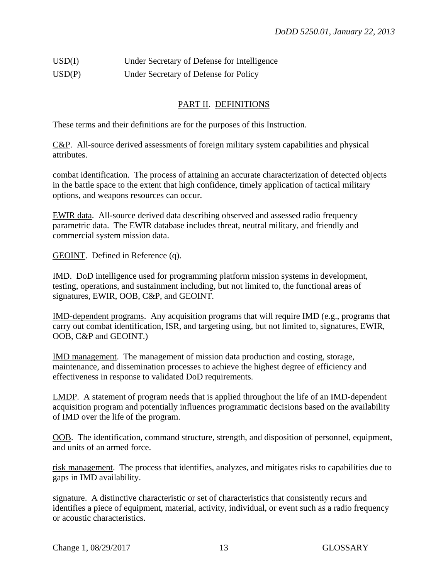# USD(I) Under Secretary of Defense for Intelligence USD(P) Under Secretary of Defense for Policy

## PART II. DEFINITIONS

These terms and their definitions are for the purposes of this Instruction.

C&P. All-source derived assessments of foreign military system capabilities and physical attributes.

combat identification. The process of attaining an accurate characterization of detected objects in the battle space to the extent that high confidence, timely application of tactical military options, and weapons resources can occur.

EWIR data. All-source derived data describing observed and assessed radio frequency parametric data. The EWIR database includes threat, neutral military, and friendly and commercial system mission data.

GEOINT. Defined in Reference (q).

IMD. DoD intelligence used for programming platform mission systems in development, testing, operations, and sustainment including, but not limited to, the functional areas of signatures, EWIR, OOB, C&P, and GEOINT.

IMD-dependent programs. Any acquisition programs that will require IMD (e.g., programs that carry out combat identification, ISR, and targeting using, but not limited to, signatures, EWIR, OOB, C&P and GEOINT.)

IMD management. The management of mission data production and costing, storage, maintenance, and dissemination processes to achieve the highest degree of efficiency and effectiveness in response to validated DoD requirements.

LMDP. A statement of program needs that is applied throughout the life of an IMD-dependent acquisition program and potentially influences programmatic decisions based on the availability of IMD over the life of the program.

OOB. The identification, command structure, strength, and disposition of personnel, equipment, and units of an armed force.

risk management. The process that identifies, analyzes, and mitigates risks to capabilities due to gaps in IMD availability.

signature. A distinctive characteristic or set of characteristics that consistently recurs and identifies a piece of equipment, material, activity, individual, or event such as a radio frequency or acoustic characteristics.